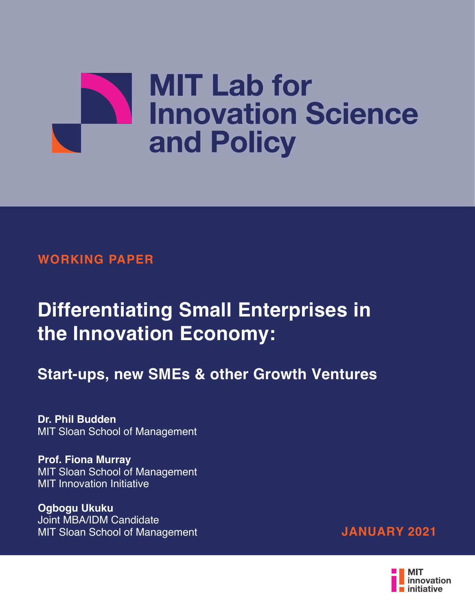

#### **WORKING PAPER**

# **Differentiating Small Enterprises in the Innovation Economy:**

# **Start-ups, new SMEs & other Growth Ventures**

**Dr. Phil Budden** MIT Sloan School of Management

**Prof. Fiona Murray** MIT Sloan School of Management MIT Innovation Initiative

**Ogbogu Ukuku** Joint MBA/IDM Candidate MIT Sloan School of Management **JANUARY 2021**

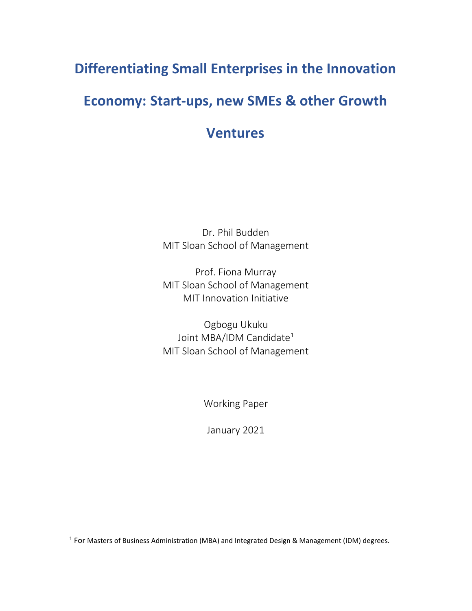## **Differentiating Small Enterprises in the Innovation Economy: Start-ups, new SMEs & other Growth Ventures**

Dr. Phil Budden MIT Sloan School of Management

Prof. Fiona Murray MIT Sloan School of Management MIT Innovation Initiative

Ogbogu Ukuku Joint MBA/IDM Candidate<sup>1</sup> MIT Sloan School of Management

Working Paper

January 2021

<sup>1</sup> For Masters of Business Administration (MBA) and Integrated Design & Management (IDM) degrees.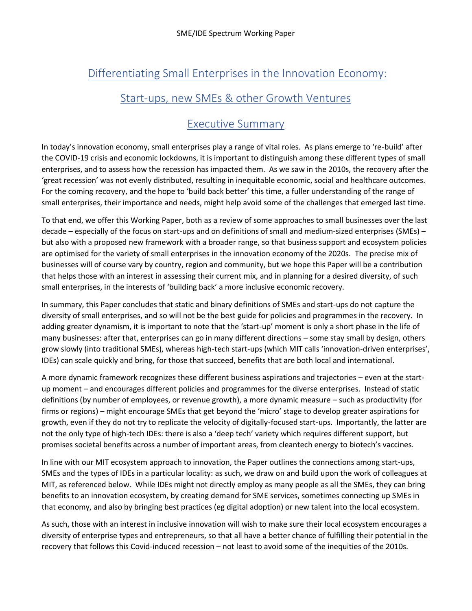### Differentiating Small Enterprises in the Innovation Economy:

#### Start-ups, new SMEs & other Growth Ventures

#### Executive Summary

In today's innovation economy, small enterprises play a range of vital roles. As plans emerge to 're-build' after the COVID-19 crisis and economic lockdowns, it is important to distinguish among these different types of small enterprises, and to assess how the recession has impacted them. As we saw in the 2010s, the recovery after the 'great recession' was not evenly distributed, resulting in inequitable economic, social and healthcare outcomes. For the coming recovery, and the hope to 'build back better' this time, a fuller understanding of the range of small enterprises, their importance and needs, might help avoid some of the challenges that emerged last time.

To that end, we offer this Working Paper, both as a review of some approaches to small businesses over the last decade – especially of the focus on start-ups and on definitions of small and medium-sized enterprises (SMEs) – but also with a proposed new framework with a broader range, so that business support and ecosystem policies are optimised for the variety of small enterprises in the innovation economy of the 2020s. The precise mix of businesses will of course vary by country, region and community, but we hope this Paper will be a contribution that helps those with an interest in assessing their current mix, and in planning for a desired diversity, of such small enterprises, in the interests of 'building back' a more inclusive economic recovery.

In summary, this Paper concludes that static and binary definitions of SMEs and start-ups do not capture the diversity of small enterprises, and so will not be the best guide for policies and programmes in the recovery. In adding greater dynamism, it is important to note that the 'start-up' moment is only a short phase in the life of many businesses: after that, enterprises can go in many different directions – some stay small by design, others grow slowly (into traditional SMEs), whereas high-tech start-ups (which MIT calls 'innovation-driven enterprises', IDEs) can scale quickly and bring, for those that succeed, benefits that are both local and international.

A more dynamic framework recognizes these different business aspirations and trajectories – even at the startup moment – and encourages different policies and programmes for the diverse enterprises. Instead of static definitions (by number of employees, or revenue growth), a more dynamic measure – such as productivity (for firms or regions) – might encourage SMEs that get beyond the 'micro' stage to develop greater aspirations for growth, even if they do not try to replicate the velocity of digitally-focused start-ups. Importantly, the latter are not the only type of high-tech IDEs: there is also a 'deep tech' variety which requires different support, but promises societal benefits across a number of important areas, from cleantech energy to biotech's vaccines.

In line with our MIT ecosystem approach to innovation, the Paper outlines the connections among start-ups, SMEs and the types of IDEs in a particular locality: as such, we draw on and build upon the work of colleagues at MIT, as referenced below. While IDEs might not directly employ as many people as all the SMEs, they can bring benefits to an innovation ecosystem, by creating demand for SME services, sometimes connecting up SMEs in that economy, and also by bringing best practices (eg digital adoption) or new talent into the local ecosystem.

As such, those with an interest in inclusive innovation will wish to make sure their local ecosystem encourages a diversity of enterprise types and entrepreneurs, so that all have a better chance of fulfilling their potential in the recovery that follows this Covid-induced recession – not least to avoid some of the inequities of the 2010s.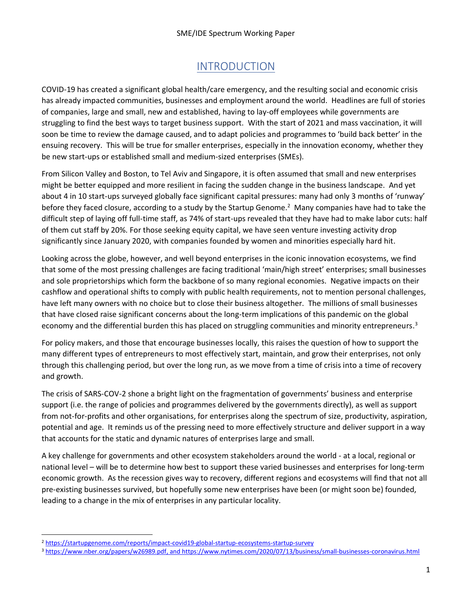#### INTRODUCTION

COVID-19 has created a significant global health/care emergency, and the resulting social and economic crisis has already impacted communities, businesses and employment around the world. Headlines are full of stories of companies, large and small, new and established, having to lay-off employees while governments are struggling to find the best ways to target business support. With the start of 2021 and mass vaccination, it will soon be time to review the damage caused, and to adapt policies and programmes to 'build back better' in the ensuing recovery. This will be true for smaller enterprises, especially in the innovation economy, whether they be new start-ups or established small and medium-sized enterprises (SMEs).

From Silicon Valley and Boston, to Tel Aviv and Singapore, it is often assumed that small and new enterprises might be better equipped and more resilient in facing the sudden change in the business landscape. And yet about 4 in 10 start-ups surveyed globally face significant capital pressures: many had only 3 months of 'runway' before they faced closure, according to a study by the Startup Genome.<sup>2</sup> Many companies have had to take the difficult step of laying off full-time staff, as 74% of start-ups revealed that they have had to make labor cuts: half of them cut staff by 20%. For those seeking equity capital, we have seen venture investing activity drop significantly since January 2020, with companies founded by women and minorities especially hard hit.

Looking across the globe, however, and well beyond enterprises in the iconic innovation ecosystems, we find that some of the most pressing challenges are facing traditional 'main/high street' enterprises; small businesses and sole proprietorships which form the backbone of so many regional economies. Negative impacts on their cashflow and operational shifts to comply with public health requirements, not to mention personal challenges, have left many owners with no choice but to close their business altogether. The millions of small businesses that have closed raise significant concerns about the long-term implications of this pandemic on the global economy and the differential burden this has placed on struggling communities and minority entrepreneurs.<sup>3</sup>

For policy makers, and those that encourage businesses locally, this raises the question of how to support the many different types of entrepreneurs to most effectively start, maintain, and grow their enterprises, not only through this challenging period, but over the long run, as we move from a time of crisis into a time of recovery and growth.

The crisis of SARS-COV-2 shone a bright light on the fragmentation of governments' business and enterprise support (i.e. the range of policies and programmes delivered by the governments directly), as well as support from not-for-profits and other organisations, for enterprises along the spectrum of size, productivity, aspiration, potential and age. It reminds us of the pressing need to more effectively structure and deliver support in a way that accounts for the static and dynamic natures of enterprises large and small.

A key challenge for governments and other ecosystem stakeholders around the world - at a local, regional or national level – will be to determine how best to support these varied businesses and enterprises for long-term economic growth. As the recession gives way to recovery, different regions and ecosystems will find that not all pre-existing businesses survived, but hopefully some new enterprises have been (or might soon be) founded, leading to a change in the mix of enterprises in any particular locality.

<sup>2</sup> <https://startupgenome.com/reports/impact-covid19-global-startup-ecosystems-startup-survey>

<sup>3</sup> [https://www.nber.org/papers/w26989.pdf,](https://www.nber.org/papers/w26989.pdf) an[d https://www.nytimes.com/2020/07/13/business/small-businesses-coronavirus.html](https://www.nytimes.com/2020/07/13/business/small-businesses-coronavirus.html)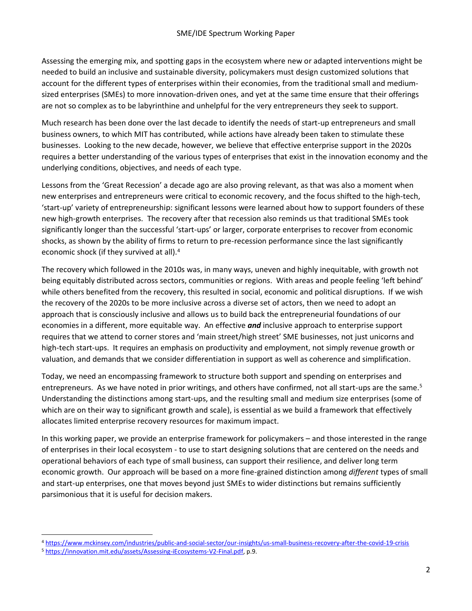Assessing the emerging mix, and spotting gaps in the ecosystem where new or adapted interventions might be needed to build an inclusive and sustainable diversity, policymakers must design customized solutions that account for the different types of enterprises within their economies, from the traditional small and mediumsized enterprises (SMEs) to more innovation-driven ones, and yet at the same time ensure that their offerings are not so complex as to be labyrinthine and unhelpful for the very entrepreneurs they seek to support.

Much research has been done over the last decade to identify the needs of start-up entrepreneurs and small business owners, to which MIT has contributed, while actions have already been taken to stimulate these businesses. Looking to the new decade, however, we believe that effective enterprise support in the 2020s requires a better understanding of the various types of enterprises that exist in the innovation economy and the underlying conditions, objectives, and needs of each type.

Lessons from the 'Great Recession' a decade ago are also proving relevant, as that was also a moment when new enterprises and entrepreneurs were critical to economic recovery, and the focus shifted to the high-tech, 'start-up' variety of entrepreneurship: significant lessons were learned about how to support founders of these new high-growth enterprises. The recovery after that recession also reminds us that traditional SMEs took significantly longer than the successful 'start-ups' or larger, corporate enterprises to recover from economic shocks, as shown by the ability of firms to return to pre-recession performance since the last significantly economic shock (if they survived at all).<sup>4</sup>

The recovery which followed in the 2010s was, in many ways, uneven and highly inequitable, with growth not being equitably distributed across sectors, communities or regions. With areas and people feeling 'left behind' while others benefited from the recovery, this resulted in social, economic and political disruptions. If we wish the recovery of the 2020s to be more inclusive across a diverse set of actors, then we need to adopt an approach that is consciously inclusive and allows us to build back the entrepreneurial foundations of our economies in a different, more equitable way. An effective *and* inclusive approach to enterprise support requires that we attend to corner stores and 'main street/high street' SME businesses, not just unicorns and high-tech start-ups. It requires an emphasis on productivity and employment, not simply revenue growth or valuation, and demands that we consider differentiation in support as well as coherence and simplification.

Today, we need an encompassing framework to structure both support and spending on enterprises and entrepreneurs. As we have noted in prior writings, and others have confirmed, not all start-ups are the same.<sup>5</sup> Understanding the distinctions among start-ups, and the resulting small and medium size enterprises (some of which are on their way to significant growth and scale), is essential as we build a framework that effectively allocates limited enterprise recovery resources for maximum impact.

In this working paper, we provide an enterprise framework for policymakers – and those interested in the range of enterprises in their local ecosystem - to use to start designing solutions that are centered on the needs and operational behaviors of each type of small business, can support their resilience, and deliver long term economic growth. Our approach will be based on a more fine-grained distinction among *different* types of small and start-up enterprises, one that moves beyond just SMEs to wider distinctions but remains sufficiently parsimonious that it is useful for decision makers.

<sup>4</sup> <https://www.mckinsey.com/industries/public-and-social-sector/our-insights/us-small-business-recovery-after-the-covid-19-crisis>

<sup>5</sup> [https://innovation.mit.edu/assets/Assessing-iEcosystems-V2-Final.pdf,](https://innovation.mit.edu/assets/Assessing-iEcosystems-V2-Final.pdf) p.9.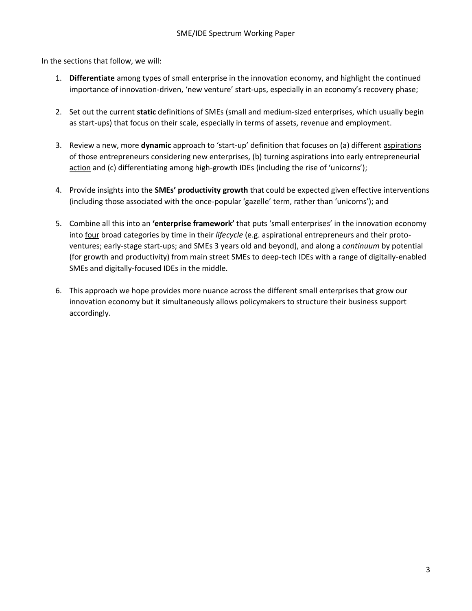In the sections that follow, we will:

- 1. **Differentiate** among types of small enterprise in the innovation economy, and highlight the continued importance of innovation-driven, 'new venture' start-ups, especially in an economy's recovery phase;
- 2. Set out the current **static** definitions of SMEs (small and medium-sized enterprises, which usually begin as start-ups) that focus on their scale, especially in terms of assets, revenue and employment.
- 3. Review a new, more **dynamic** approach to 'start-up' definition that focuses on (a) different aspirations of those entrepreneurs considering new enterprises, (b) turning aspirations into early entrepreneurial action and (c) differentiating among high-growth IDEs (including the rise of 'unicorns');
- 4. Provide insights into the **SMEs' productivity growth** that could be expected given effective interventions (including those associated with the once-popular 'gazelle' term, rather than 'unicorns'); and
- 5. Combine all this into an **'enterprise framework'** that puts 'small enterprises' in the innovation economy into four broad categories by time in their *lifecycle* (e.g. aspirational entrepreneurs and their protoventures; early-stage start-ups; and SMEs 3 years old and beyond), and along a *continuum* by potential (for growth and productivity) from main street SMEs to deep-tech IDEs with a range of digitally-enabled SMEs and digitally-focused IDEs in the middle.

This approach, we hope, provides more nuance across the different small enterprises that grow our innovation economy but it simultaneously allows policymakers to structure their business support accordingly.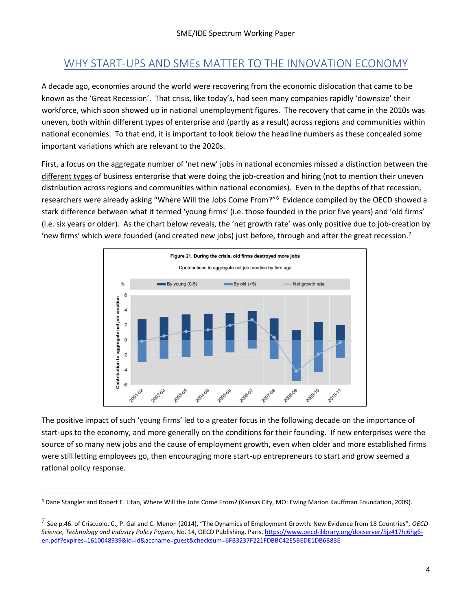#### WHY START-UPS AND SMEs MATTER TO THE INNOVATION ECONOMY

A decade ago, economies around the world were recovering from the economic dislocation that came to be known as the 'Great Recession'. That crisis, like today's, had seen many companies rapidly 'downsize' their workforce, which soon showed up in national unemployment figures. The recovery that came in the 2010s was uneven, both within different types of enterprise and (partly as a result) across regions and communities within national economies. To that end, it is important to look below the headline numbers as these concealed some important variations which are relevant to the 2020s.

First, a focus on the aggregate number of 'net new' jobs in national economies missed a distinction between the different types of business enterprise that were doing the job-creation and hiring (not to mention their uneven distribution across regions and communities within national economies). Even in the depths of that recession, researchers were already asking "Where Will the Jobs Come From?"<sup>6</sup> Evidence compiled by the OECD showed a stark difference between what it termed 'young firms' (i.e. those founded in the prior five years) and 'old firms' (i.e. six years or older). As the chart below reveals, the 'net growth rate' was only positive due to job-creation by 'new firms' which were founded (and created new jobs) just before, through and after the great recession.<sup>7</sup>



The positive impact of such 'young firms' led to a greater focus in the following decade on the importance of start-ups to the economy, and more generally on the conditions for their founding. If new enterprises were the source of so many new jobs and the cause of employment growth, even when older and more established firms were still letting employees go, then encouraging more start-up entrepreneurs to start and grow seemed a rational policy response.

<sup>6</sup> Dane Stangler and Robert E. Litan, Where Will the Jobs Come From? (Kansas City, MO: Ewing Marion Kauffman Foundation, 2009).

<sup>7</sup> See p.46. of Criscuolo, C., P. Gal and C. Menon (2014), "The Dynamics of Employment Growth: New Evidence from 18 Countries", *OECD Science, Technology and Industry Policy Papers*, No. 14, OECD Publishing, Paris[. https://www.oecd-ilibrary.org/docserver/5jz417hj6hg6](https://www.oecd-ilibrary.org/docserver/5jz417hj6hg6-en.pdf?expires=1610048939&id=id&accname=guest&checksum=6FB3237F221FDBBC42E5BEDE1DB6B83E) [en.pdf?expires=1610048939&id=id&accname=guest&checksum=6FB3237F221FDBBC42E5BEDE1DB6B83E](https://www.oecd-ilibrary.org/docserver/5jz417hj6hg6-en.pdf?expires=1610048939&id=id&accname=guest&checksum=6FB3237F221FDBBC42E5BEDE1DB6B83E)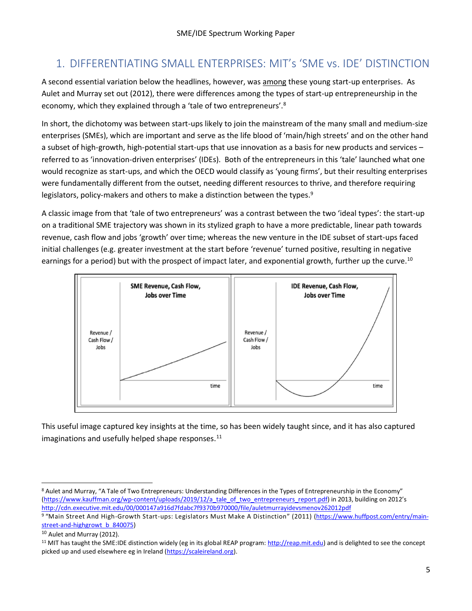#### 1. DIFFERENTIATING SMALL ENTERPRISES: MIT's 'SME vs. IDE' DISTINCTION

A second essential variation below the headlines, however, was among these young start-up enterprises. As Aulet and Murray set out (2012), there were differences among the types of start-up entrepreneurship in the economy, which they explained through a 'tale of two entrepreneurs'.<sup>8</sup>

In short, the dichotomy was between start-ups likely to join the mainstream of the many small and medium-size enterprises (SMEs), which are important and serve as the life blood of 'main/high streets' and on the other hand a subset of high-growth, high-potential start-ups that use innovation as a basis for new products and services – referred to as 'innovation-driven enterprises' (IDEs). Both of the entrepreneurs in this 'tale' launched what one would recognize as start-ups, and which the OECD would classify as 'young firms', but their resulting enterprises were fundamentally different from the outset, needing different resources to thrive, and therefore requiring legislators, policy-makers and others to make a distinction between the types.<sup>9</sup>

A classic image from that 'tale of two entrepreneurs' was a contrast between the two 'ideal types': the start-up on a traditional SME trajectory was shown in its stylized graph to have a more predictable, linear path towards revenue, cash flow and jobs 'growth' over time; whereas the new venture in the IDE subset of start-ups faced initial challenges (e.g. greater investment at the start before 'revenue' turned positive, resulting in negative earnings for a period) but with the prospect of impact later, and exponential growth, further up the curve.<sup>10</sup>



This useful image captured key insights at the time, so has been widely taught since, and it has also captured imaginations and usefully helped shape responses.<sup>11</sup>

<sup>8</sup> Aulet and Murray, "A Tale of Two Entrepreneurs: Understanding Differences in the Types of Entrepreneurship in the Economy" [\(https://www.kauffman.org/wp-content/uploads/2019/12/a\\_tale\\_of\\_two\\_entrepreneurs\\_report.pdf](https://www.kauffman.org/wp-content/uploads/2019/12/a_tale_of_two_entrepreneurs_report.pdf)) in 2013, building on 2012's <http://cdn.executive.mit.edu/00/000147a916d7fdabc7f9370b970000/file/auletmurrayidevsmenov262012pdf>

<sup>9 &</sup>quot;Main Street And High-Growth Start-ups: Legislators Must Make A Distinction" (2011) [\(https://www.huffpost.com/entry/main](https://www.huffpost.com/entry/main-street-and-highgrowt_b_840075)[street-and-highgrowt\\_b\\_840075\)](https://www.huffpost.com/entry/main-street-and-highgrowt_b_840075)

<sup>10</sup> Aulet and Murray (2012).

<sup>&</sup>lt;sup>11</sup> MIT has taught the SME:IDE distinction widely (eg in its global REAP program[: http://reap.mit.edu\)](http://reap.mit.edu/) and is delighted to see the concept picked up and used elsewhere eg in Ireland [\(https://scaleireland.org\)](https://scaleireland.org/).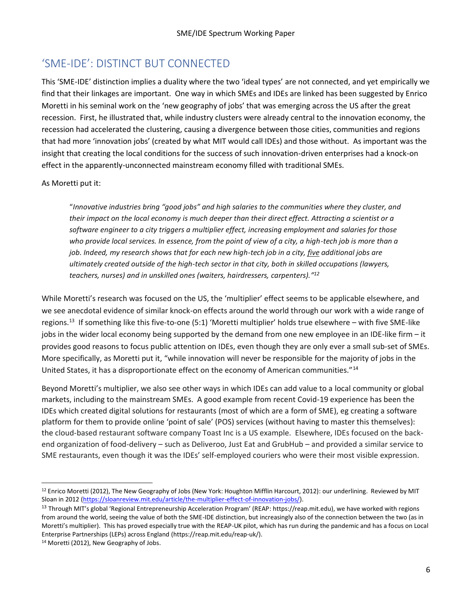#### 'SME-IDE': DISTINCT BUT CONNECTED

This 'SME-IDE' distinction implies a duality where the two 'ideal types' are not connected, and yet empirically we find that their linkages are important. One way in which SMEs and IDEs are linked has been suggested by Enrico Moretti in his seminal work on the 'new geography of jobs' that was emerging across the US after the great recession. First, he illustrated that, while industry clusters were already central to the innovation economy, the recession had accelerated the clustering, causing a divergence between those cities, communities and regions that had more 'innovation jobs' (created by what MIT would call IDEs) and those without. As important was the insight that creating the local conditions for the success of such innovation-driven enterprises had a knock-on effect in the apparently-unconnected mainstream economy filled with traditional SMEs.

#### As Moretti put it:

"*Innovative industries bring "good jobs" and high salaries to the communities where they cluster, and their impact on the local economy is much deeper than their direct effect. Attracting a scientist or a software engineer to a city triggers a multiplier effect, increasing employment and salaries for those who provide local services. In essence, from the point of view of a city, a high-tech job is more than a job. Indeed, my research shows that for each new high-tech job in a city, five additional jobs are ultimately created outside of the high-tech sector in that city, both in skilled occupations (lawyers, teachers, nurses) and in unskilled ones (waiters, hairdressers, carpenters)." 12*

While Moretti's research was focused on the US, the 'multiplier' effect seems to be applicable elsewhere, and we see anecdotal evidence of similar knock-on effects around the world through our work with a wide range of regions. 13 If something like this five-to-one (5:1) 'Moretti multiplier' holds true elsewhere – with five SME-like jobs in the wider local economy being supported by the demand from one new employee in an IDE-like firm – it provides good reasons to focus public attention on IDEs, even though they are only ever a small sub-set of SMEs. More specifically, as Moretti put it, "while innovation will never be responsible for the majority of jobs in the United States, it has a disproportionate effect on the economy of American communities."<sup>14</sup>

Beyond Moretti's multiplier, we also see other ways in which IDEs can add value to a local community or global markets, including to the mainstream SMEs. A good example from recent Covid-19 experience has been the IDEs which created digital solutions for restaurants (most of which are a form of SME), eg creating a software platform for them to provide online 'point of sale' (POS) services (without having to master this themselves): the cloud-based restaurant software company Toast Inc is a US example. Elsewhere, IDEs focused on the backend organization of food-delivery – such as Deliveroo, Just Eat and GrubHub – and provided a similar service to SME restaurants, even though it was the IDEs' self-employed couriers who were their most visible expression.

<sup>&</sup>lt;sup>12</sup> Enrico Moretti (2012), The New Geography of Jobs (New York: Houghton Mifflin Harcourt, 2012): our underlining. Reviewed by MIT Sloan in 2012 [\(https://sloanreview.mit.edu/article/the-multiplier-effect-of-innovation-jobs/\)](https://sloanreview.mit.edu/article/the-multiplier-effect-of-innovation-jobs/).

<sup>&</sup>lt;sup>13</sup> Through MIT's global 'Regional Entrepreneurship Acceleration Program' (REAP: https://reap.mit.edu), we have worked with regions from around the world, seeing the value of both the SME-IDE distinction, but increasingly also of the connection between the two (as in Moretti's multiplier). This has proved especially true with the REAP-UK pilot, which has run during the pandemic and has a focus on Local Enterprise Partnerships (LEPs) across England (https://reap.mit.edu/reap-uk/).

<sup>14</sup> Moretti (2012), New Geography of Jobs.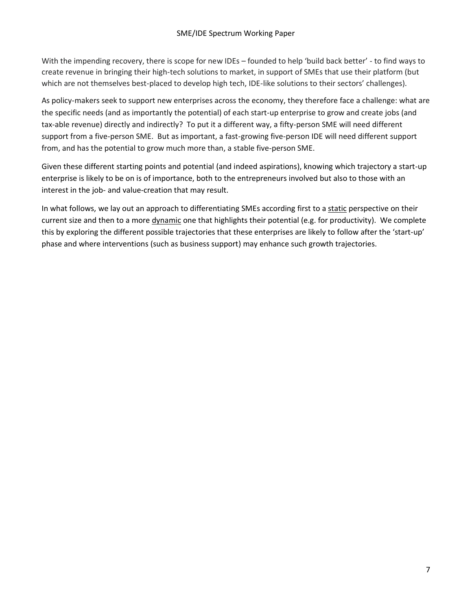With the impending recovery, there is scope for new IDEs – founded to help 'build back better' - to find ways to create revenue in bringing their high-tech solutions to market, in support of SMEs that use their platform (but which are not themselves best-placed to develop high tech, IDE-like solutions to their sectors' challenges).

As policy-makers seek to support new enterprises across the economy, they therefore face a challenge: what are the specific needs (and as importantly the potential) of each start-up enterprise to grow and create jobs (and tax-able revenue) directly and indirectly? To put it a different way, a fifty-person SME will need different support from a five-person SME. But as important, a fast-growing five-person IDE will need different support from, and has the potential to grow much more than, a stable five-person SME.

Given these different starting points and potential (and indeed aspirations), knowing which trajectory a start-up enterprise is likely to be on is of importance, both to the entrepreneurs involved but also to those with an interest in the job- and value-creation that may result.

In what follows, we lay out an approach to differentiating SMEs according first to a static perspective on their current size and then to a more dynamic one that highlights their potential (e.g. for productivity). We complete this by exploring the different possible trajectories that these enterprises are likely to follow after the 'start-up' phase and where interventions (such as business support) may enhance such growth trajectories.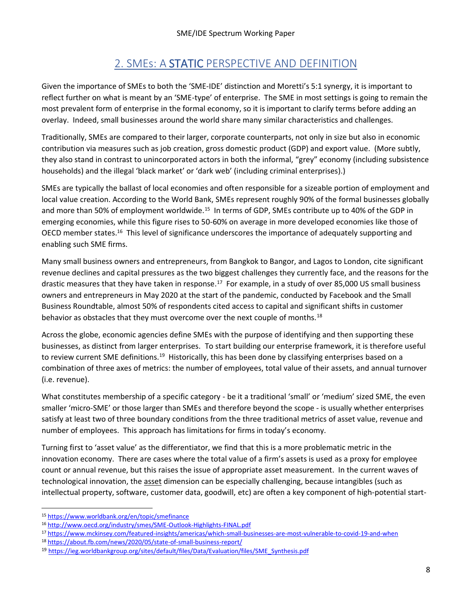### 2. SMEs: A STATIC PERSPECTIVE AND DEFINITION

Given the importance of SMEs to both the 'SME-IDE' distinction and Moretti's 5:1 synergy, it is important to reflect further on what is meant by an 'SME-type' of enterprise. The SME in most settings is going to remain the most prevalent form of enterprise in the formal economy, so it is important to clarify terms before adding an overlay. Indeed, small businesses around the world share many similar characteristics and challenges.

Traditionally, SMEs are compared to their larger, corporate counterparts, not only in size but also in economic contribution via measures such as job creation, gross domestic product (GDP) and export value. (More subtly, they also stand in contrast to unincorporated actors in both the informal, "grey" economy (including subsistence households) and the illegal 'black market' or 'dark web' (including criminal enterprises).)

SMEs are typically the ballast of local economies and often responsible for a sizeable portion of employment and local value creation. According to the World Bank, SMEs represent roughly 90% of the formal businesses globally and more than 50% of employment worldwide.<sup>15</sup> In terms of GDP, SMEs contribute up to 40% of the GDP in emerging economies, while this figure rises to 50-60% on average in more developed economies like those of OECD member states.<sup>16</sup> This level of significance underscores the importance of adequately supporting and enabling such SME firms.

Many small business owners and entrepreneurs, from Bangkok to Bangor, and Lagos to London, cite significant revenue declines and capital pressures as the two biggest challenges they currently face, and the reasons for the drastic measures that they have taken in response.<sup>17</sup> For example, in a study of over 85,000 US small business owners and entrepreneurs in May 2020 at the start of the pandemic, conducted by Facebook and the Small Business Roundtable, almost 50% of respondents cited access to capital and significant shifts in customer behavior as obstacles that they must overcome over the next couple of months.<sup>18</sup>

Across the globe, economic agencies define SMEs with the purpose of identifying and then supporting these businesses, as distinct from larger enterprises. To start building our enterprise framework, it is therefore useful to review current SME definitions.<sup>19</sup> Historically, this has been done by classifying enterprises based on a combination of three axes of metrics: the number of employees, total value of their assets, and annual turnover (i.e. revenue).

What constitutes membership of a specific category - be it a traditional 'small' or 'medium' sized SME, the even smaller 'micro-SME' or those larger than SMEs and therefore beyond the scope - is usually whether enterprises satisfy at least two of three boundary conditions from the three traditional metrics of asset value, revenue and number of employees. This approach has limitations for firms in today's economy.

Turning first to 'asset value' as the differentiator, we find that this is a more problematic metric in the innovation economy. There are cases where the total value of a firm's assets is used as a proxy for employee count or annual revenue, but this raises the issue of appropriate asset measurement. In the current waves of technological innovation, the asset dimension can be especially challenging, because intangibles (such as intellectual property, software, customer data, goodwill, etc) are often a key component of high-potential start-

<sup>15</sup> <https://www.worldbank.org/en/topic/smefinance>

<sup>16</sup> <http://www.oecd.org/industry/smes/SME-Outlook-Highlights-FINAL.pdf>

<sup>17</sup> <https://www.mckinsey.com/featured-insights/americas/which-small-businesses-are-most-vulnerable-to-covid-19-and-when>

<sup>18</sup> <https://about.fb.com/news/2020/05/state-of-small-business-report/>

<sup>19</sup> [ht](https://ieg.worldbankgroup.org/sites/default/files/Data/Evaluation/files/SME_Synthesis.pdf)tps://ieg.worldbankgroup.org/sites/default/files/Data/Evaluation/files/SME\_Synthesis.pdf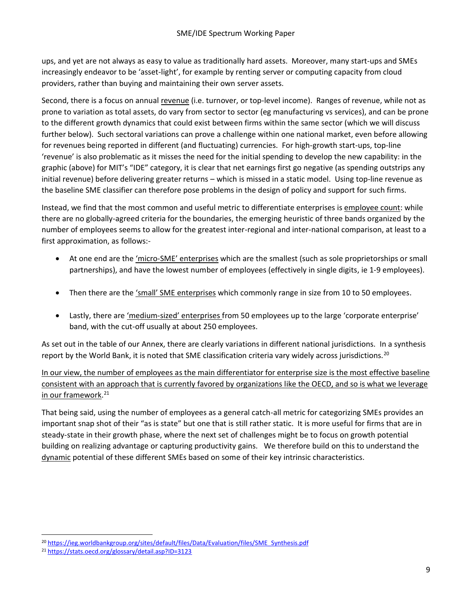ups, and yet are not always as easy to value as traditionally hard assets. Moreover, many start-ups and SMEs increasingly endeavor to be 'asset-light', for example by renting server or computing capacity from cloud providers, rather than buying and maintaining their own server assets.

Second, there is a focus on annual revenue (i.e. turnover, or top-level income). Ranges of revenue, while not as prone to variation as total assets, do vary from sector to sector (eg manufacturing vs services), and can be prone to the different growth dynamics that could exist between firms within the same sector (which we will discuss further below). Such sectoral variations can prove a challenge within one national market, even before allowing for revenues being reported in different (and fluctuating) currencies. For high-growth start-ups, top-line 'revenue' is also problematic as it misses the need for the initial spending to develop the new capability: in the graphic (above) for MIT's "IDE" category, it is clear that net earnings first go negative (as spending outstrips any initial revenue) before delivering greater returns – which is missed in a static model. Using top-line revenue as the baseline SME classifier can therefore pose problems in the design of policy and support for such firms.

Instead, we find that the most common and useful metric to differentiate enterprises is employee count: while there are no globally-agreed criteria for the boundaries, the emerging heuristic of three bands organized by the number of employees seems to allow for the greatest inter-regional and inter-national comparison, at least to a first approximation, as follows:-

- At one end are the *'micro-SME'* enterprises which are the smallest (such as sole proprietorships or small partnerships), and have the lowest number of employees (effectively in single digits, ie 1-9 employees).
- Then there are the 'small' SME enterprises which commonly range in size from 10 to 50 employees.
- Lastly, there are 'medium-sized' enterprises from 50 employees up to the large 'corporate enterprise' band, with the cut-off usually at about 250 employees.

As set out in the table of our Annex, there are clearly variations in different national jurisdictions. In a synthesis report by the World Bank, it is noted that SME classification criteria vary widely across jurisdictions.<sup>20</sup>

In our view, the number of employees as the main differentiator for enterprise size is the most effective baseline consistent with an approach that is currently favored by organizations like the OECD, and so is what we leverage in our framework. 21

That being said, using the number of employees as a general catch-all metric for categorizing SMEs provides an important snap shot of their "as is state" but one that is still rather static. It is more useful for firms that are in steady-state in their growth phase, where the next set of challenges might be to focus on growth potential building on realizing advantage or capturing productivity gains. We therefore build on this to understand the dynamic potential of these different SMEs based on some of their key intrinsic characteristics.

<sup>20</sup> [https://ieg.worldbankgroup.org/sites/default/files/Data/Evaluation/files/SME\\_Synthesis.pdf](https://ieg.worldbankgroup.org/sites/default/files/Data/Evaluation/files/SME_Synthesis.pdf)

<sup>21</sup> <https://stats.oecd.org/glossary/detail.asp?ID=3123>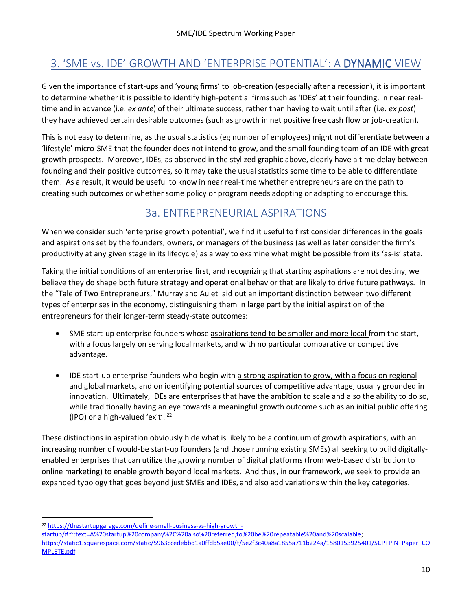### 3. 'SME vs. IDE' GROWTH AND 'ENTERPRISE POTENTIAL': A DYNAMIC VIEW

Given the importance of start-ups and 'young firms' to job-creation (especially after a recession), it is important to determine whether it is possible to identify high-potential firms such as 'IDEs' at their founding, in near realtime and in advance (i.e. *ex ante*) of their ultimate success, rather than having to wait until after (i.e. *ex post*) they have achieved certain desirable outcomes (such as growth in net positive free cash flow or job-creation).

This is not easy to determine, as the usual statistics (eg number of employees) might not differentiate between a 'lifestyle' micro-SME that the founder does not intend to grow, and the small founding team of an IDE with great growth prospects. Moreover, IDEs, as observed in the stylized graphic above, clearly have a time delay between founding and their positive outcomes, so it may take the usual statistics some time to be able to differentiate them. As a result, it would be useful to know in near real-time whether entrepreneurs are on the path to creating such outcomes or whether some policy or program needs adopting or adapting to encourage this.

#### 3a. ENTREPRENEURIAL ASPIRATIONS

When we consider such 'enterprise growth potential', we find it useful to first consider differences in the goals and aspirations set by the founders, owners, or managers of the business (as well as later consider the firm's productivity at any given stage in its lifecycle) as a way to examine what might be possible from its 'as-is' state.

Taking the initial conditions of an enterprise first, and recognizing that starting aspirations are not destiny, we believe they do shape both future strategy and operational behavior that are likely to drive future pathways. In the "Tale of Two Entrepreneurs," Murray and Aulet laid out an important distinction between two different types of enterprises in the economy, distinguishing them in large part by the initial aspiration of the entrepreneurs for their longer-term steady-state outcomes:

- SME start-up enterprise founders whose aspirations tend to be smaller and more local from the start, with a focus largely on serving local markets, and with no particular comparative or competitive advantage.
- IDE start-up enterprise founders who begin with a strong aspiration to grow, with a focus on regional and global markets, and on identifying potential sources of competitive advantage, usually grounded in innovation. Ultimately, IDEs are enterprises that have the ambition to scale and also the ability to do so, while traditionally having an eye towards a meaningful growth outcome such as an initial public offering (IPO) or a high-valued 'exit'. 22

These distinctions in aspiration obviously hide what is likely to be a continuum of growth aspirations, with an increasing number of would-be start-up founders (and those running existing SMEs) all seeking to build digitallyenabled enterprises that can utilize the growing number of digital platforms (from web-based distribution to online marketing) to enable growth beyond local markets. And thus, in our framework, we seek to provide an expanded typology that goes beyond just SMEs and IDEs, and also add variations within the key categories.

<sup>22</sup> [https://thestartupgarage.com/define-small-business-vs-high-growth-](https://thestartupgarage.com/define-small-business-vs-high-growth-startup/#:~:text=A%20startup%20company%2C%20also%20referred,to%20be%20repeatable%20and%20scalable)

[startup/#:~:text=A%20startup%20company%2C%20also%20referred,to%20be%20repeatable%20and%20scalable;](https://thestartupgarage.com/define-small-business-vs-high-growth-startup/#:~:text=A%20startup%20company%2C%20also%20referred,to%20be%20repeatable%20and%20scalable) [https://static1.squarespace.com/static/5963ccedebbd1a0ffdb5ae00/t/5e2f3c40a8a1855a711b224a/1580153925401/SCP+PIN+Paper+CO](https://static1.squarespace.com/static/5963ccedebbd1a0ffdb5ae00/t/5e2f3c40a8a1855a711b224a/1580153925401/SCP+PIN+Paper+COMPLETE.pdf) [MPLETE.pdf](https://static1.squarespace.com/static/5963ccedebbd1a0ffdb5ae00/t/5e2f3c40a8a1855a711b224a/1580153925401/SCP+PIN+Paper+COMPLETE.pdf)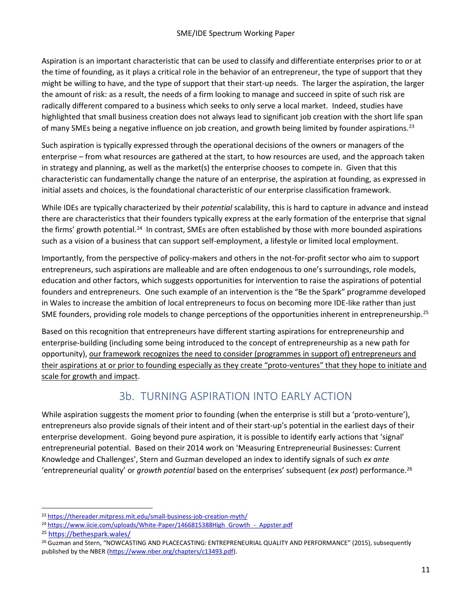Aspiration is an important characteristic that can be used to classify and differentiate enterprises prior to or at the time of founding, as it plays a critical role in the behavior of an entrepreneur, the type of support that they might be willing to have, and the type of support that their start-up needs. The larger the aspiration, the larger the amount of risk: as a result, the needs of a firm looking to manage and succeed in spite of such risk are radically different compared to a business which seeks to only serve a local market. Indeed, studies have highlighted that small business creation does not always lead to significant job creation with the short life span of many SMEs being a negative influence on job creation, and growth being limited by founder aspirations.<sup>23</sup>

Such aspiration is typically expressed through the operational decisions of the owners or managers of the enterprise – from what resources are gathered at the start, to how resources are used, and the approach taken in strategy and planning, as well as the market(s) the enterprise chooses to compete in. Given that this characteristic can fundamentally change the nature of an enterprise, the aspiration at founding, as expressed in initial assets and choices, is the foundational characteristic of our enterprise classification framework.

While IDEs are typically characterized by their *potential* scalability, this is hard to capture in advance and instead there are characteristics that their founders typically express at the early formation of the enterprise that signal the firms' growth potential.<sup>24</sup> In contrast, SMEs are often established by those with more bounded aspirations such as a vision of a business that can support self-employment, a lifestyle or limited local employment.

Importantly, from the perspective of policy-makers and others in the not-for-profit sector who aim to support entrepreneurs, such aspirations are malleable and are often endogenous to one's surroundings, role models, education and other factors, which suggests opportunities for intervention to raise the aspirations of potential founders and entrepreneurs. One such example of an intervention is the "Be the Spark" programme developed in Wales to increase the ambition of local entrepreneurs to focus on becoming more IDE-like rather than just SME founders, providing role models to change perceptions of the opportunities inherent in entrepreneurship.<sup>25</sup>

Based on this recognition that entrepreneurs have different starting aspirations for entrepreneurship and enterprise-building (including some being introduced to the concept of entrepreneurship as a new path for opportunity), our framework recognizes the need to consider (programmes in support of) entrepreneurs and their aspirations at or prior to founding especially as they create "proto-ventures" that they hope to initiate and scale for growth and impact.

#### 3b. TURNING ASPIRATION INTO EARLY ACTION

While aspiration suggests the moment prior to founding (when the enterprise is still but a 'proto-venture'), entrepreneurs also provide signals of their intent and of their start-up's potential in the earliest days of their enterprise development. Going beyond pure aspiration, it is possible to identify early actions that 'signal' entrepreneurial potential. Based on their 2014 work on 'Measuring Entrepreneurial Businesses: Current Knowledge and Challenges', Stern and Guzman developed an index to identify signals of such *ex ante* 'entrepreneurial quality' or *growth potential* based on the enterprises' subsequent (*ex post*) performance.<sup>26</sup>

<sup>23</sup> <https://thereader.mitpress.mit.edu/small-business-job-creation-myth/>

<sup>&</sup>lt;sup>24</sup> https://www.iicie.com/uploads/White-Paper/1466815388High\_Growth - Appster.pdf

<sup>25</sup> <https://bethespark.wales/>

<sup>&</sup>lt;sup>26</sup> Guzman and Stern, "NOWCASTING AND PLACECASTING: ENTREPRENEURIAL QUALITY AND PERFORMANCE" (2015), subsequently published by the NBER [\(https://www.nber.org/chapters/c13493.pdf\)](https://www.nber.org/chapters/c13493.pdf).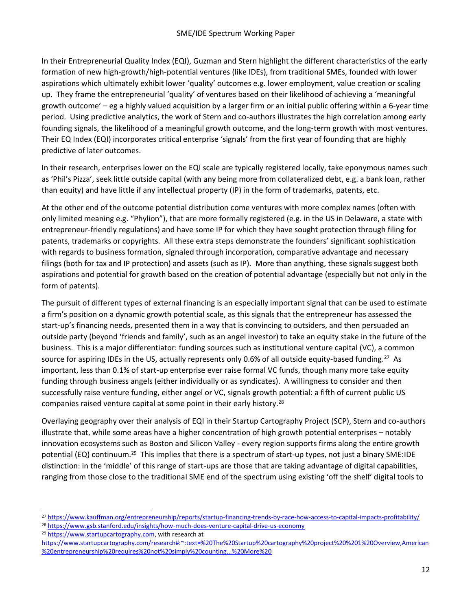In their Entrepreneurial Quality Index (EQI), Guzman and Stern highlight the different characteristics of the early formation of new high-growth/high-potential ventures (like IDEs), from traditional SMEs, founded with lower aspirations which ultimately exhibit lower 'quality' outcomes e.g. lower employment, value creation or scaling up. They frame the entrepreneurial 'quality' of ventures based on their likelihood of achieving a 'meaningful growth outcome' – eg a highly valued acquisition by a larger firm or an initial public offering within a 6-year time period. Using predictive analytics, the work of Stern and co-authors illustrates the high correlation among early founding signals, the likelihood of a meaningful growth outcome, and the long-term growth with most ventures. Their EQ Index (EQI) incorporates critical enterprise 'signals' from the first year of founding that are highly predictive of later outcomes.

In their research, enterprises lower on the EQI scale are typically registered locally, take eponymous names such as 'Phil's Pizza', seek little outside capital (with any being more from collateralized debt, e.g. a bank loan, rather than equity) and have little if any intellectual property (IP) in the form of trademarks, patents, etc.

At the other end of the outcome potential distribution come ventures with more complex names (often with only limited meaning e.g. "Phylion"), that are more formally registered (e.g. in the US in Delaware, a state with entrepreneur-friendly regulations) and have some IP for which they have sought protection through filing for patents, trademarks or copyrights. All these extra steps demonstrate the founders' significant sophistication with regards to business formation, signaled through incorporation, comparative advantage and necessary filings (both for tax and IP protection) and assets (such as IP). More than anything, these signals suggest both aspirations and potential for growth based on the creation of potential advantage (especially but not only in the form of patents).

The pursuit of different types of external financing is an especially important signal that can be used to estimate a firm's position on a dynamic growth potential scale, as this signals that the entrepreneur has assessed the start-up's financing needs, presented them in a way that is convincing to outsiders, and then persuaded an outside party (beyond 'friends and family', such as an angel investor) to take an equity stake in the future of the business. This is a major differentiator: funding sources such as institutional venture capital (VC), a common source for aspiring IDEs in the US, actually represents only 0.6% of all outside equity-based funding.<sup>27</sup> As important, less than 0.1% of start-up enterprise ever raise formal VC funds, though many more take equity funding through business angels (either individually or as syndicates). A willingness to consider and then successfully raise venture funding, either angel or VC, signals growth potential: a fifth of current public US companies raised venture capital at some point in their early history.<sup>28</sup>

Overlaying geography over their analysis of EQI in their Startup Cartography Project (SCP), Stern and co-authors illustrate that, while some areas have a higher concentration of high growth potential enterprises – notably innovation ecosystems such as Boston and Silicon Valley - every region supports firms along the entire growth potential (EQ) continuum.<sup>29</sup> This implies that there is a spectrum of start-up types, not just a binary SME:IDE distinction: in the 'middle' of this range of start-ups are those that are taking advantage of digital capabilities, ranging from those close to the traditional SME end of the spectrum using existing 'off the shelf' digital tools to

- <sup>28</sup> <https://www.gsb.stanford.edu/insights/how-much-does-venture-capital-drive-us-economy>
- <sup>29</sup> [https://www.startupcartography.com,](https://www.startupcartography.com/) with research at
- [https://www.startupcartography.com/research#:~:text=%20The%20Startup%20cartography%20project%20%201%20Overview,American](https://www.startupcartography.com/research#:~:text=%20The%20Startup%20cartography%20project%20%201%20Overview,American%20entrepreneurship%20requires%20not%20simply%20counting...%20More%20) [%20entrepreneurship%20requires%20not%20simply%20counting...%20More%20](https://www.startupcartography.com/research#:~:text=%20The%20Startup%20cartography%20project%20%201%20Overview,American%20entrepreneurship%20requires%20not%20simply%20counting...%20More%20)

<sup>27</sup> <https://www.kauffman.org/entrepreneurship/reports/startup-financing-trends-by-race-how-access-to-capital-impacts-profitability/>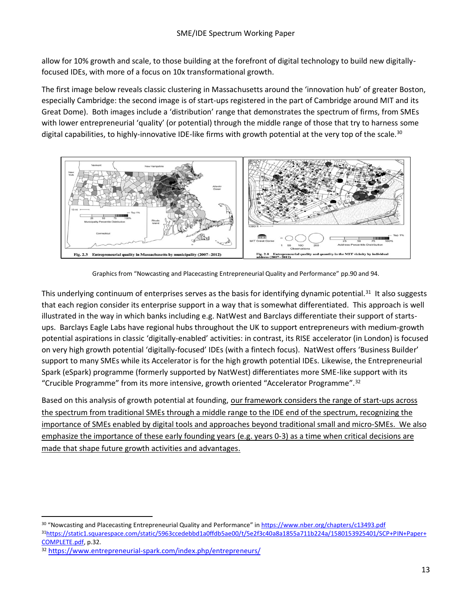allow for 10% growth and scale, to those building at the forefront of digital technology to build new digitallyfocused IDEs, with more of a focus on 10x transformational growth.

The first image below reveals classic clustering in Massachusetts around the 'innovation hub' of greater Boston, especially Cambridge: the second image is of start-ups registered in the part of Cambridge around MIT and its Great Dome). Both images include a 'distribution' range that demonstrates the spectrum of firms, from SMEs with lower entrepreneurial 'quality' (or potential) through the middle range of those that try to harness some digital capabilities, to highly-innovative IDE-like firms with growth potential at the very top of the scale.<sup>30</sup>



Graphics from "Nowcasting and Placecasting Entrepreneurial Quality and Performance" pp.90 and 94.

This underlying continuum of enterprises serves as the basis for identifying dynamic potential. $31$  It also suggests that each region consider its enterprise support in a way that is somewhat differentiated. This approach is well illustrated in the way in which banks including e.g. NatWest and Barclays differentiate their support of startsups. Barclays Eagle Labs have regional hubs throughout the UK to support entrepreneurs with medium-growth potential aspirations in classic 'digitally-enabled' activities: in contrast, its RISE accelerator (in London) is focused on very high growth potential 'digitally-focused' IDEs (with a fintech focus). NatWest offers 'Business Builder' support to many SMEs while its Accelerator is for the high growth potential IDEs. Likewise, the Entrepreneurial Spark (eSpark) programme (formerly supported by NatWest) differentiates more SME-like support with its "Crucible Programme" from its more intensive, growth oriented "Accelerator Programme".<sup>32</sup>

Based on this analysis of growth potential at founding, our framework considers the range of start-ups across the spectrum from traditional SMEs through a middle range to the IDE end of the spectrum, recognizing the importance of SMEs enabled by digital tools and approaches beyond traditional small and micro-SMEs. We also emphasize the importance of these early founding years (e.g. years 0-3) as a time when critical decisions are made that shape future growth activities and advantages.

<sup>30</sup> "Nowcasting and Placecasting Entrepreneurial Quality and Performance" in <https://www.nber.org/chapters/c13493.pdf>

<sup>31</sup>[https://static1.squarespace.com/static/5963ccedebbd1a0ffdb5ae00/t/5e2f3c40a8a1855a711b224a/1580153925401/SCP+PIN+Paper+](https://static1.squarespace.com/static/5963ccedebbd1a0ffdb5ae00/t/5e2f3c40a8a1855a711b224a/1580153925401/SCP+PIN+Paper+COMPLETE.pdf) [COMPLETE.pdf,](https://static1.squarespace.com/static/5963ccedebbd1a0ffdb5ae00/t/5e2f3c40a8a1855a711b224a/1580153925401/SCP+PIN+Paper+COMPLETE.pdf) p.32.

<sup>32</sup> <https://www.entrepreneurial-spark.com/index.php/entrepreneurs/>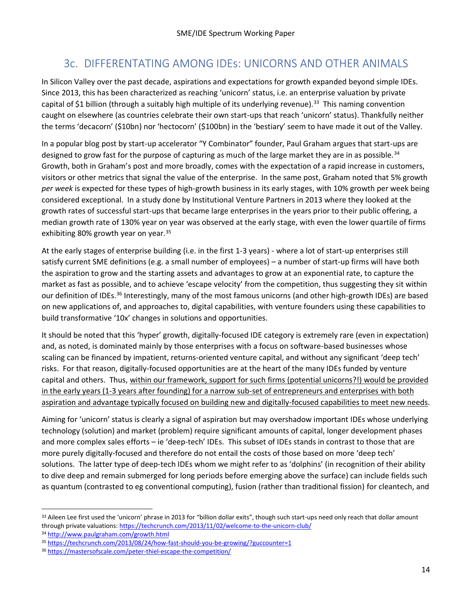#### 3c. DIFFERENTATING AMONG IDEs: UNICORNS AND OTHER ANIMALS

In Silicon Valley over the past decade, aspirations and expectations for growth expanded beyond simple IDEs. Since 2013, this has been characterized as reaching 'unicorn' status, i.e. an enterprise valuation by private capital of \$1 billion (through a suitably high multiple of its underlying revenue).<sup>33</sup> This naming convention caught on elsewhere (as countries celebrate their own start-ups that reach 'unicorn' status). Thankfully neither the terms 'decacorn' (\$10bn) nor 'hectocorn' (\$100bn) in the 'bestiary' seem to have made it out of the Valley.

In a popular blog post by start-up accelerator "Y Combinator" founder, Paul Graham argues that start-ups are designed to grow fast for the purpose of capturing as much of the large market they are in as possible.<sup>34</sup> Growth, both in Graham's post and more broadly, comes with the expectation of a rapid increase in customers, visitors or other metrics that signal the value of the enterprise. In the same post, Graham noted that 5% growth *per week* is expected for these types of high-growth business in its early stages, with 10% growth per week being considered exceptional. In a study done by Institutional Venture Partners in 2013 where they looked at the growth rates of successful start-ups that became large enterprises in the years prior to their public offering, a median growth rate of 130% year on year was observed at the early stage, with even the lower quartile of firms exhibiting 80% growth year on year.<sup>35</sup>

At the early stages of enterprise building (i.e. in the first 1-3 years) - where a lot of start-up enterprises still satisfy current SME definitions (e.g. a small number of employees) – a number of start-up firms will have both the aspiration to grow and the starting assets and advantages to grow at an exponential rate, to capture the market as fast as possible, and to achieve 'escape velocity' from the competition, thus suggesting they sit within our definition of IDEs.<sup>36</sup> Interestingly, many of the most famous unicorns (and other high-growth IDEs) are based on new applications of, and approaches to, digital capabilities, with venture founders using these capabilities to build transformative '10x' changes in solutions and opportunities.

It should be noted that this 'hyper' growth, digitally-focused IDE category is extremely rare (even in expectation) and, as noted, is dominated mainly by those enterprises with a focus on software-based businesses whose scaling can be financed by impatient, returns-oriented venture capital, and without any significant 'deep tech' risks. For that reason, digitally-focused opportunities are at the heart of the many IDEs funded by venture capital and others. Thus, within our framework, support for such firms (potential unicorns?!) would be provided in the early years (1-3 years after founding) for a narrow sub-set of entrepreneurs and enterprises with both aspiration and advantage typically focused on building new and digitally-focused capabilities to meet new needs.

Aiming for 'unicorn' status is clearly a signal of aspiration but may overshadow important IDEs whose underlying technology (solution) and market (problem) require significant amounts of capital, longer development phases and more complex sales efforts – ie 'deep-tech' IDEs. This subset of IDEs stands in contrast to those that are more purely digitally-focused and therefore do not entail the costs of those based on more 'deep tech' solutions. The latter type of deep-tech IDEs whom we might refer to as 'dolphins' (in recognition of their ability to dive deep and remain submerged for long periods before emerging above the surface) can include fields such as quantum (contrasted to eg conventional computing), fusion (rather than traditional fission) for cleantech, and

<sup>&</sup>lt;sup>33</sup> Aileen Lee first used the 'unicorn' phrase in 2013 for "billion dollar exits", though such start-ups need only reach that dollar amount through private valuations:<https://techcrunch.com/2013/11/02/welcome-to-the-unicorn-club/>

<sup>34</sup> <http://www.paulgraham.com/growth.html>

<sup>35</sup> <https://techcrunch.com/2013/08/24/how-fast-should-you-be-growing/?guccounter=1>

<sup>36</sup> <https://mastersofscale.com/peter-thiel-escape-the-competition/>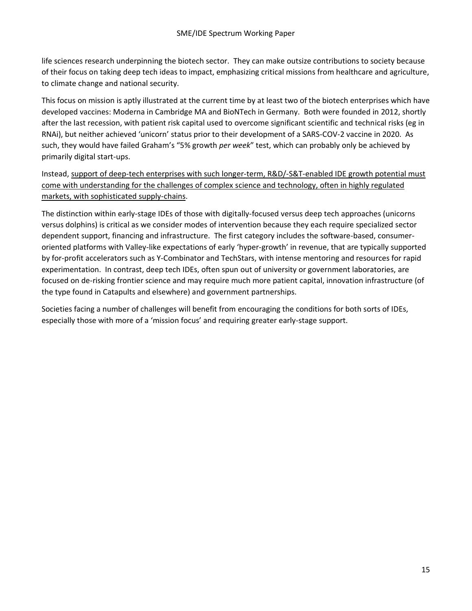life sciences research underpinning the biotech sector. They can make outsize contributions to society because of their focus on taking deep tech ideas to impact, emphasizing critical missions from healthcare and agriculture, to climate change and national security.

This focus on mission is aptly illustrated at the current time by at least two of the biotech enterprises which have developed vaccines: Moderna in Cambridge MA and BioNTech in Germany. Both were founded in 2012, shortly after the last recession, with patient risk capital used to overcome significant scientific and technical risks (eg in RNAi), but neither achieved 'unicorn' status prior to their development of a SARS-COV-2 vaccine in 2020. As such, they would have failed Graham's "5% growth *per week*" test, which can probably only be achieved by primarily digital start-ups.

Instead, support of deep-tech enterprises with such longer-term, R&D/-S&T-enabled IDE growth potential must come with understanding for the challenges of complex science and technology, often in highly regulated markets, with sophisticated supply-chains.

The distinction within early-stage IDEs of those with digitally-focused versus deep tech approaches (unicorns versus dolphins) is critical as we consider modes of intervention because they each require specialized sector dependent support, financing and infrastructure. The first category includes the software-based, consumeroriented platforms with Valley-like expectations of early 'hyper-growth' in revenue, that are typically supported by for-profit accelerators such as Y-Combinator and TechStars, with intense mentoring and resources for rapid experimentation. In contrast, deep tech IDEs, often spun out of university or government laboratories, are focused on de-risking frontier science and may require much more patient capital, innovation infrastructure (of the type found in Catapults and elsewhere) and government partnerships.

Societies facing a number of challenges will benefit from encouraging the conditions for both sorts of IDEs, especially those with more of a 'mission focus' and requiring greater early-stage support.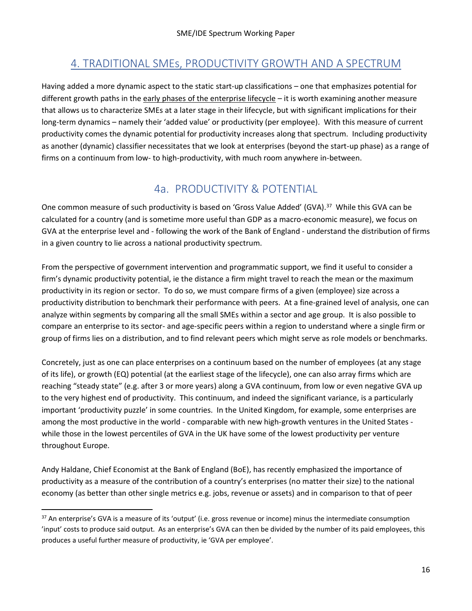#### 4. TRADITIONAL SMEs, PRODUCTIVITY GROWTH AND A SPECTRUM

Having added a more dynamic aspect to the static start-up classifications – one that emphasizes potential for different growth paths in the early phases of the enterprise lifecycle – it is worth examining another measure that allows us to characterize SMEs at a later stage in their lifecycle, but with significant implications for their long-term dynamics – namely their 'added value' or productivity (per employee). With this measure of current productivity comes the dynamic potential for productivity increases along that spectrum. Including productivity as another (dynamic) classifier necessitates that we look at enterprises (beyond the start-up phase) as a range of firms on a continuum from low- to high-productivity, with much room anywhere in-between.

#### 4a. PRODUCTIVITY & POTENTIAL

One common measure of such productivity is based on 'Gross Value Added' (GVA).<sup>37</sup> While this GVA can be calculated for a country (and is sometime more useful than GDP as a macro-economic measure), we focus on GVA at the enterprise level and - following the work of the Bank of England - understand the distribution of firms in a given country to lie across a national productivity spectrum.

From the perspective of government intervention and programmatic support, we find it useful to consider a firm's dynamic productivity potential, ie the distance a firm might travel to reach the mean or the maximum productivity in its region or sector. To do so, we must compare firms of a given (employee) size across a productivity distribution to benchmark their performance with peers. At a fine-grained level of analysis, one can analyze within segments by comparing all the small SMEs within a sector and age group. It is also possible to compare an enterprise to its sector- and age-specific peers within a region to understand where a single firm or group of firms lies on a distribution, and to find relevant peers which might serve as role models or benchmarks.

Concretely, just as one can place enterprises on a continuum based on the number of employees (at any stage of its life), or growth (EQ) potential (at the earliest stage of the lifecycle), one can also array firms which are reaching "steady state" (e.g. after 3 or more years) along a GVA continuum, from low or even negative GVA up to the very highest end of productivity. This continuum, and indeed the significant variance, is a particularly important 'productivity puzzle' in some countries. In the United Kingdom, for example, some enterprises are among the most productive in the world - comparable with new high-growth ventures in the United States while those in the lowest percentiles of GVA in the UK have some of the lowest productivity per venture throughout Europe.

Andy Haldane, Chief Economist at the Bank of England (BoE), has recently emphasized the importance of productivity as a measure of the contribution of a country's enterprises (no matter their size) to the national economy (as better than other single metrics e.g. jobs, revenue or assets) and in comparison to that of peer

<sup>&</sup>lt;sup>37</sup> An enterprise's GVA is a measure of its 'output' (i.e. gross revenue or income) minus the intermediate consumption 'input' costs to produce said output. As an enterprise's GVA can then be divided by the number of its paid employees, this produces a useful further measure of productivity, ie 'GVA per employee'.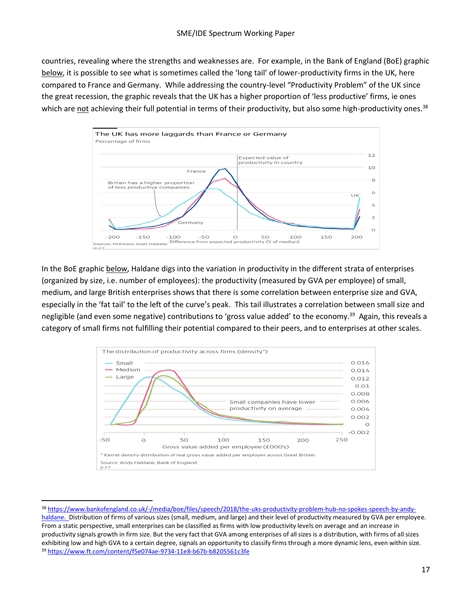countries, revealing where the strengths and weaknesses are. For example, in the Bank of England (BoE) graphic below, it is possible to see what is sometimes called the 'long tail' of lower-productivity firms in the UK, here compared to France and Germany. While addressing the country-level "Productivity Problem" of the UK since the great recession, the graphic reveals that the UK has a higher proportion of 'less productive' firms, ie ones which are not achieving their full potential in terms of their productivity, but also some high-productivity ones.<sup>38</sup>



In the BoE graphic below, Haldane digs into the variation in productivity in the different strata of enterprises (organized by size, i.e. number of employees): the productivity (measured by GVA per employee) of small, medium, and large British enterprises shows that there is some correlation between enterprise size and GVA, especially in the 'fat tail' to the left of the curve's peak. This tail illustrates a correlation between small size and negligible (and even some negative) contributions to 'gross value added' to the economy.<sup>39</sup> Again, this reveals a category of small firms not fulfilling their potential compared to their peers, and to enterprises at other scales.



<sup>38</sup> [https://www.bankofengland.co.uk/-/media/boe/files/speech/2018/the-uks-productivity-problem-hub-no-spokes-speech-by-andy](https://www.bankofengland.co.uk/-/media/boe/files/speech/2018/the-uks-productivity-problem-hub-no-spokes-speech-by-andy-haldane)[haldane.](https://www.bankofengland.co.uk/-/media/boe/files/speech/2018/the-uks-productivity-problem-hub-no-spokes-speech-by-andy-haldane) Distribution of firms of various sizes (small, medium, and large) and their level of productivity measured by GVA per employee. From a static perspective, small enterprises can be classified as firms with low productivity levels on average and an increase in productivity signals growth in firm size. But the very fact that GVA among enterprises of all sizes is a distribution, with firms of all sizes exhibiting low and high GVA to a certain degree, signals an opportunity to classify firms through a more dynamic lens, even within size. <sup>39</sup> <https://www.ft.com/content/f5e074ae-9734-11e8-b67b-b8205561c3fe>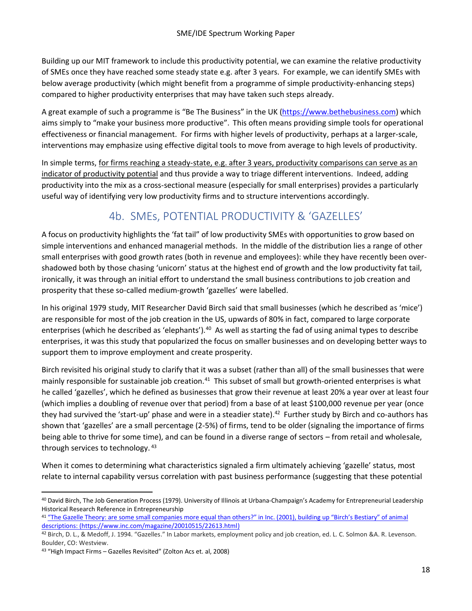Building up our MIT framework to include this productivity potential, we can examine the relative productivity of SMEs once they have reached some steady state e.g. after 3 years. For example, we can identify SMEs with below average productivity (which might benefit from a programme of simple productivity-enhancing steps) compared to higher productivity enterprises that may have taken such steps already.

A great example of such a programme is "Be The Business" in the UK [\(https://www.bethebusiness.com\)](https://www.bethebusiness.com/) which aims simply to "make your business more productive". This often means providing simple tools for operational effectiveness or financial management. For firms with higher levels of productivity, perhaps at a larger-scale, interventions may emphasize using effective digital tools to move from average to high levels of productivity.

In simple terms, for firms reaching a steady-state, e.g. after 3 years, productivity comparisons can serve as an indicator of productivity potential and thus provide a way to triage different interventions. Indeed, adding productivity into the mix as a cross-sectional measure (especially for small enterprises) provides a particularly useful way of identifying very low productivity firms and to structure interventions accordingly.

#### 4b. SMEs, POTENTIAL PRODUCTIVITY & 'GAZELLES'

A focus on productivity highlights the 'fat tail" of low productivity SMEs with opportunities to grow based on simple interventions and enhanced managerial methods. In the middle of the distribution lies a range of other small enterprises with good growth rates (both in revenue and employees): while they have recently been overshadowed both by those chasing 'unicorn' status at the highest end of growth and the low productivity fat tail, ironically, it was through an initial effort to understand the small business contributions to job creation and prosperity that these so-called medium-growth 'gazelles' were labelled.

In his original 1979 study, MIT Researcher David Birch said that small businesses (which he described as 'mice') are responsible for most of the job creation in the US, upwards of 80% in fact, compared to large corporate enterprises (which he described as 'elephants').<sup>40</sup> As well as starting the fad of using animal types to describe enterprises, it was this study that popularized the focus on smaller businesses and on developing better ways to support them to improve employment and create prosperity.

Birch revisited his original study to clarify that it was a subset (rather than all) of the small businesses that were mainly responsible for sustainable job creation.<sup>41</sup> This subset of small but growth-oriented enterprises is what he called 'gazelles', which he defined as businesses that grow their revenue at least 20% a year over at least four (which implies a doubling of revenue over that period) from a base of at least \$100,000 revenue per year (once they had survived the 'start-up' phase and were in a steadier state).<sup>42</sup> Further study by Birch and co-authors has shown that 'gazelles' are a small percentage (2-5%) of firms, tend to be older (signaling the importance of firms being able to thrive for some time), and can be found in a diverse range of sectors – from retail and wholesale, through services to technology. <sup>43</sup>

When it comes to determining what characteristics signaled a firm ultimately achieving 'gazelle' status, most relate to internal capability versus correlation with past business performance (suggesting that these potential

<sup>40</sup> David Birch, The Job Generation Process (1979). University of Illinois at Urbana-Champaign's Academy for Entrepreneurial Leadership Historical Research Reference in Entrepreneurship

<sup>41 &</sup>quot;The Gazelle Theory: are some small companies more equal than others?" in Inc. (2001), building up "Birch's Bestiary" of animal descriptions: [\(https://www.inc.com/magazine/20010515/22613.html\)](https://www.inc.com/magazine/20010515/22613.html)

<sup>42</sup> Birch, D. L., & Medoff, J. 1994. "Gazelles." In Labor markets, employment policy and job creation, ed. L. C. Solmon &A. R. Levenson. Boulder, CO: Westview.

<sup>43</sup> "High Impact Firms – Gazelles Revisited" (Zolton Acs et. al, 2008)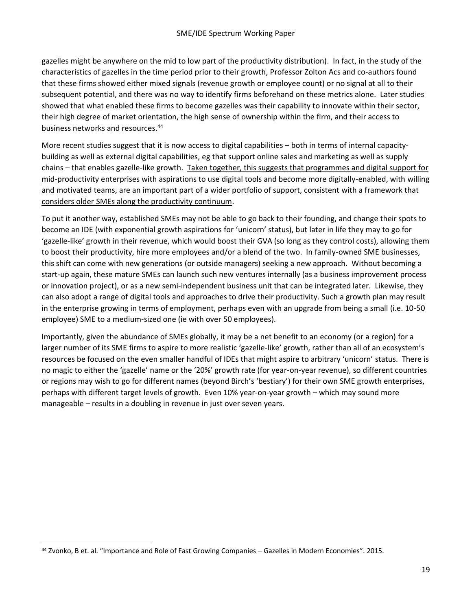gazelles might be anywhere on the mid to low part of the productivity distribution). In fact, in the study of the characteristics of gazelles in the time period prior to their growth, Professor Zolton Acs and co-authors found that these firms showed either mixed signals (revenue growth or employee count) or no signal at all to their subsequent potential, and there was no way to identify firms beforehand on these metrics alone. Later studies showed that what enabled these firms to become gazelles was their capability to innovate within their sector, their high degree of market orientation, the high sense of ownership within the firm, and their access to business networks and resources.<sup>44</sup>

More recent studies suggest that it is now access to digital capabilities – both in terms of internal capacitybuilding as well as external digital capabilities, eg that support online sales and marketing as well as supply chains – that enables gazelle-like growth. Taken together, this suggests that programmes and digital support for mid-productivity enterprises with aspirations to use digital tools and become more digitally-enabled, with willing and motivated teams, are an important part of a wider portfolio of support, consistent with a framework that considers older SMEs along the productivity continuum.

To put it another way, established SMEs may not be able to go back to their founding, and change their spots to become an IDE (with exponential growth aspirations for 'unicorn' status), but later in life they may to go for 'gazelle-like' growth in their revenue, which would boost their GVA (so long as they control costs), allowing them to boost their productivity, hire more employees and/or a blend of the two. In family-owned SME businesses, this shift can come with new generations (or outside managers) seeking a new approach. Without becoming a start-up again, these mature SMEs can launch such new ventures internally (as a business improvement process or innovation project), or as a new semi-independent business unit that can be integrated later. Likewise, they can also adopt a range of digital tools and approaches to drive their productivity. Such a growth plan may result in the enterprise growing in terms of employment, perhaps even with an upgrade from being a small (i.e. 10-50 employee) SME to a medium-sized one (ie with over 50 employees).

Importantly, given the abundance of SMEs globally, it may be a net benefit to an economy (or a region) for a larger number of its SME firms to aspire to more realistic 'gazelle-like' growth, rather than all of an ecosystem's resources be focused on the even smaller handful of IDEs that might aspire to arbitrary 'unicorn' status. There is no magic to either the 'gazelle' name or the '20%' growth rate (for year-on-year revenue), so different countries or regions may wish to go for different names (beyond Birch's 'bestiary') for their own SME growth enterprises, perhaps with different target levels of growth. Even 10% year-on-year growth – which may sound more manageable – results in a doubling in revenue in just over seven years.

<sup>44</sup> Zvonko, B et. al. "Importance and Role of Fast Growing Companies – Gazelles in Modern Economies". 2015.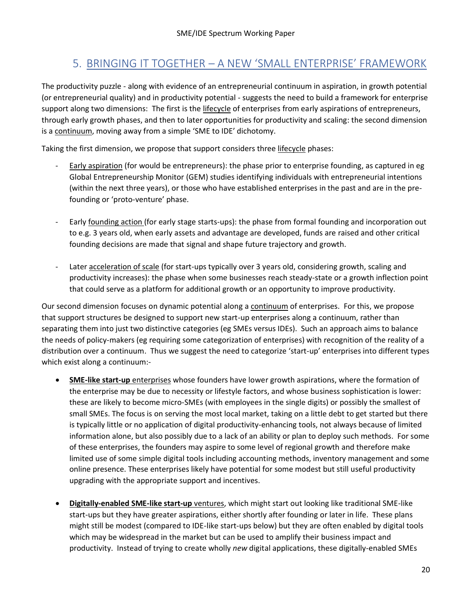#### 5. BRINGING IT TOGETHER – A NEW 'SMALL ENTERPRISE' FRAMEWORK

The productivity puzzle - along with evidence of an entrepreneurial continuum in aspiration, in growth potential (or entrepreneurial quality) and in productivity potential - suggests the need to build a framework for enterprise support along two dimensions: The first is the lifecycle of enterprises from early aspirations of entrepreneurs, through early growth phases, and then to later opportunities for productivity and scaling: the second dimension is a continuum, moving away from a simple 'SME to IDE' dichotomy.

Taking the first dimension, we propose that support considers three lifecycle phases:

- Early aspiration (for would be entrepreneurs): the phase prior to enterprise founding, as captured in eg Global Entrepreneurship Monitor (GEM) studies identifying individuals with entrepreneurial intentions (within the next three years), or those who have established enterprises in the past and are in the prefounding or 'proto-venture' phase.
- Early founding action (for early stage starts-ups): the phase from formal founding and incorporation out to e.g. 3 years old, when early assets and advantage are developed, funds are raised and other critical founding decisions are made that signal and shape future trajectory and growth.
- Later acceleration of scale (for start-ups typically over 3 years old, considering growth, scaling and productivity increases): the phase when some businesses reach steady-state or a growth inflection point that could serve as a platform for additional growth or an opportunity to improve productivity.

Our second dimension focuses on dynamic potential along a continuum of enterprises. For this, we propose that support structures be designed to support new start-up enterprises along a continuum, rather than separating them into just two distinctive categories (eg SMEs versus IDEs). Such an approach aims to balance the needs of policy-makers (eg requiring some categorization of enterprises) with recognition of the reality of a distribution over a continuum. Thus we suggest the need to categorize 'start-up' enterprises into different types which exist along a continuum:-

- **SME-like start-up** enterprises whose founders have lower growth aspirations, where the formation of the enterprise may be due to necessity or lifestyle factors, and whose business sophistication is lower: these are likely to become micro-SMEs (with employees in the single digits) or possibly the smallest of small SMEs. The focus is on serving the most local market, taking on a little debt to get started but there is typically little or no application of digital productivity-enhancing tools, not always because of limited information alone, but also possibly due to a lack of an ability or plan to deploy such methods. For some of these enterprises, the founders may aspire to some level of regional growth and therefore make limited use of some simple digital tools including accounting methods, inventory management and some online presence. These enterprises likely have potential for some modest but still useful productivity upgrading with the appropriate support and incentives.
- **Digitally-enabled SME-like start-up** ventures, which might start out looking like traditional SME-like start-ups but they have greater aspirations, either shortly after founding or later in life. These plans might still be modest (compared to IDE-like start-ups below) but they are often enabled by digital tools which may be widespread in the market but can be used to amplify their business impact and productivity. Instead of trying to create wholly *new* digital applications, these digitally-enabled SMEs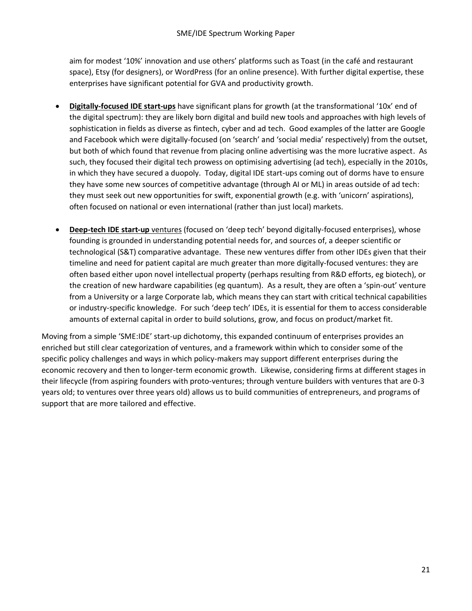aim for modest '10%' innovation and use others' platforms such as Toast (in the café and restaurant space), Etsy (for designers), or WordPress (for an online presence). With further digital expertise, these enterprises have significant potential for GVA and productivity growth.

- **Digitally-focused IDE start-ups** have significant plans for growth (at the transformational '10x' end of the digital spectrum): they are likely born digital and build new tools and approaches with high levels of sophistication in fields as diverse as fintech, cyber and ad tech. Good examples of the latter are Google and Facebook which were digitally-focused (on 'search' and 'social media' respectively) from the outset, but both of which found that revenue from placing online advertising was the more lucrative aspect. As such, they focused their digital tech prowess on optimising advertising (ad tech), especially in the 2010s, in which they have secured a duopoly. Today, digital IDE start-ups coming out of dorms have to ensure they have some new sources of competitive advantage (through AI or ML) in areas outside of ad tech: they must seek out new opportunities for swift, exponential growth (e.g. with 'unicorn' aspirations), often focused on national or even international (rather than just local) markets.
- **Deep-tech IDE start-up** ventures (focused on 'deep tech' beyond digitally-focused enterprises), whose founding is grounded in understanding potential needs for, and sources of, a deeper scientific or technological (S&T) comparative advantage. These new ventures differ from other IDEs given that their timeline and need for patient capital are much greater than more digitally-focused ventures: they are often based either upon novel intellectual property (perhaps resulting from R&D efforts, eg biotech), or the creation of new hardware capabilities (eg quantum). As a result, they are often a 'spin-out' venture from a University or a large Corporate lab, which means they can start with critical technical capabilities or industry-specific knowledge. For such 'deep tech' IDEs, it is essential for them to access considerable amounts of external capital in order to build solutions, grow, and focus on product/market fit.

Moving from a simple 'SME:IDE' start-up dichotomy, this expanded continuum of enterprises provides an enriched but still clear categorization of ventures, and a framework within which to consider some of the specific policy challenges and ways in which policy-makers may support different enterprises during the economic recovery and then to longer-term economic growth. Likewise, considering firms at different stages in their lifecycle (from aspiring founders with proto-ventures; through venture builders with ventures that are 0-3 years old; to ventures over three years old) allows us to build communities of entrepreneurs, and programs of support that are more tailored and effective.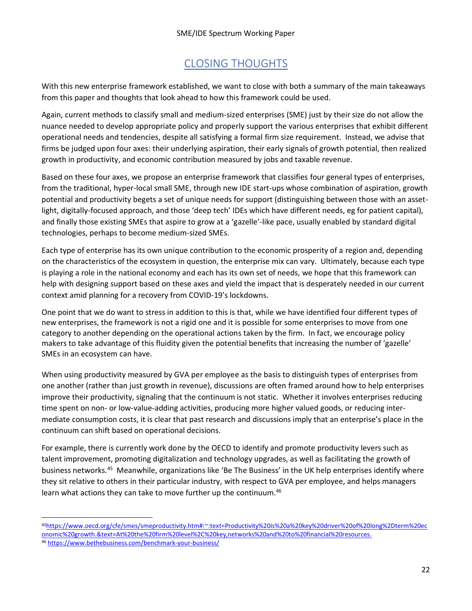#### CLOSING THOUGHTS

With this new enterprise framework established, we want to close with both a summary of the main takeaways from this paper and thoughts that look ahead to how this framework could be used.

Again, current methods to classify small and medium-sized enterprises (SME) just by their size do not allow the nuance needed to develop appropriate policy and properly support the various enterprises that exhibit different operational needs and tendencies, despite all satisfying a formal firm size requirement. Instead, we advise that firms be judged upon four axes: their underlying aspiration, their early signals of growth potential, then realized growth in productivity, and economic contribution measured by jobs and taxable revenue.

Based on these four axes, we propose an enterprise framework that classifies four general types of enterprises, from the traditional, hyper-local small SME, through new IDE start-ups whose combination of aspiration, growth potential and productivity begets a set of unique needs for support (distinguishing between those with an assetlight, digitally-focused approach, and those 'deep tech' IDEs which have different needs, eg for patient capital), and finally those existing SMEs that aspire to grow at a 'gazelle'-like pace, usually enabled by standard digital technologies, perhaps to become medium-sized SMEs.

Each type of enterprise has its own unique contribution to the economic prosperity of a region and, depending on the characteristics of the ecosystem in question, the enterprise mix can vary. Ultimately, because each type is playing a role in the national economy and each has its own set of needs, we hope that this framework can help with designing support based on these axes and yield the impact that is desperately needed in our current context amid planning for a recovery from COVID-19's lockdowns.

One point that we do want to stress in addition to this is that, while we have identified four different types of new enterprises, the framework is not a rigid one and it is possible for some enterprises to move from one category to another depending on the operational actions taken by the firm. In fact, we encourage policy makers to take advantage of this fluidity given the potential benefits that increasing the number of 'gazelle' SMEs in an ecosystem can have.

When using productivity measured by GVA per employee as the basis to distinguish types of enterprises from one another (rather than just growth in revenue), discussions are often framed around how to help enterprises improve their productivity, signaling that the continuum is not static. Whether it involves enterprises reducing time spent on non- or low-value-adding activities, producing more higher valued goods, or reducing intermediate consumption costs, it is clear that past research and discussions imply that an enterprise's place in the continuum can shift based on operational decisions.

For example, there is currently work done by the OECD to identify and promote productivity levers such as talent improvement, promoting digitalization and technology upgrades, as well as facilitating the growth of business networks.<sup>45</sup> Meanwhile, organizations like 'Be The Business' in the UK help enterprises identify where they sit relative to others in their particular industry, with respect to GVA per employee, and helps managers learn what actions they can take to move further up the continuum.<sup>46</sup>

<sup>45</sup>[https://www.oecd.org/cfe/smes/smeproductivity.htm#:~:text=Productivity%20is%20a%20key%20driver%20of%20long%2Dterm%20ec](https://www.oecd.org/cfe/smes/smeproductivity.htm#:~:text=Productivity%20is%20a%20key%20driver%20of%20long%2Dterm%20economic%20growth.&text=At%20the%20firm%20level%2C%20key,networks%20and%20to%20financial%20resources.) [onomic%20growth.&text=At%20the%20firm%20level%2C%20key,networks%20and%20to%20financial%20resources.](https://www.oecd.org/cfe/smes/smeproductivity.htm#:~:text=Productivity%20is%20a%20key%20driver%20of%20long%2Dterm%20economic%20growth.&text=At%20the%20firm%20level%2C%20key,networks%20and%20to%20financial%20resources.)

<sup>46</sup> <https://www.bethebusiness.com/benchmark-your-business/>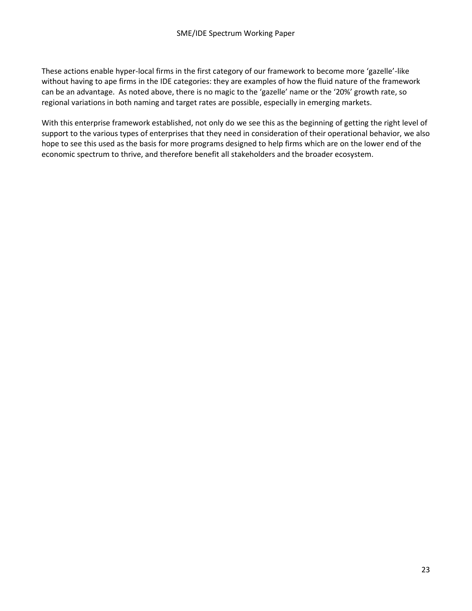These actions enable hyper-local firms in the first category of our framework to become more 'gazelle'-like without having to ape firms in the IDE categories: they are examples of how the fluid nature of the framework can be an advantage. As noted above, there is no magic to the 'gazelle' name or the '20%' growth rate, so regional variations in both naming and target rates are possible, especially in emerging markets.

With this enterprise framework established, not only do we see this as the beginning of getting the right level of support to the various types of enterprises that they need in consideration of their operational behavior, we also hope to see this used as the basis for more programs designed to help firms which are on the lower end of the economic spectrum to thrive, and therefore benefit all stakeholders and the broader ecosystem.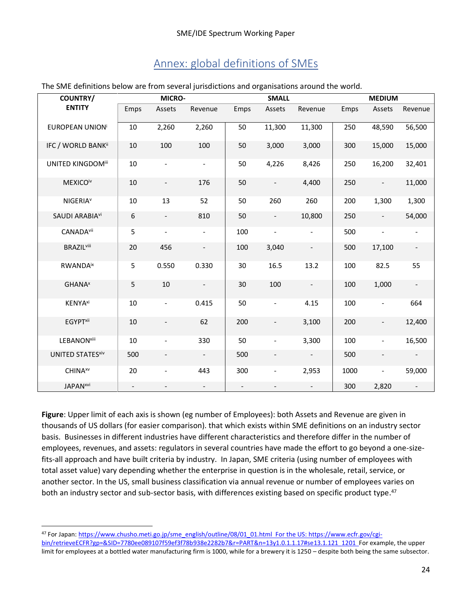#### Annex: global definitions of SMEs

| COUNTRY/                       | MICRO-           |                              |                          | <b>SMALL</b> |                          |                              | <b>MEDIUM</b> |                          |                          |
|--------------------------------|------------------|------------------------------|--------------------------|--------------|--------------------------|------------------------------|---------------|--------------------------|--------------------------|
| <b>ENTITY</b>                  | Emps             | Assets                       | Revenue                  | Emps         | Assets                   | Revenue                      | Emps          | Assets                   | Revenue                  |
| EUROPEAN UNION <sup>i</sup>    | $10\,$           | 2,260                        | 2,260                    | 50           | 11,300                   | 11,300                       | 250           | 48,590                   | 56,500                   |
| IFC / WORLD BANKii             | 10               | 100                          | 100                      | 50           | 3,000                    | 3,000                        | 300           | 15,000                   | 15,000                   |
| <b>UNITED KINGDOMill</b>       | 10               | $\qquad \qquad \blacksquare$ | $\overline{\phantom{a}}$ | 50           | 4,226                    | 8,426                        | 250           | 16,200                   | 32,401                   |
| <b>MEXICO</b> iv               | 10               | $\overline{\phantom{a}}$     | 176                      | 50           |                          | 4,400                        | 250           | $\frac{1}{2}$            | 11,000                   |
| <b>NIGERIAY</b>                | 10               | 13                           | 52                       | 50           | 260                      | 260                          | 200           | 1,300                    | 1,300                    |
| SAUDI ARABIA <sup>vi</sup>     | $\boldsymbol{6}$ | $\overline{\phantom{a}}$     | 810                      | 50           | $\overline{\phantom{a}}$ | 10,800                       | 250           | $\overline{\phantom{a}}$ | 54,000                   |
| <b>CANADAvii</b>               | 5                | $\overline{\phantom{a}}$     | $\overline{\phantom{a}}$ | 100          |                          |                              | 500           |                          | $\overline{\phantom{0}}$ |
| <b>BRAZIL</b> viii             | 20               | 456                          |                          | 100          | 3,040                    |                              | 500           | 17,100                   | $\overline{\phantom{a}}$ |
| <b>RWANDAix</b>                | 5                | 0.550                        | 0.330                    | 30           | 16.5                     | 13.2                         | 100           | 82.5                     | 55                       |
| <b>GHANA<sup>x</sup></b>       | 5                | 10                           | $\overline{\phantom{a}}$ | 30           | 100                      | $\qquad \qquad \blacksquare$ | 100           | 1,000                    | $\overline{\phantom{a}}$ |
| <b>KENYA</b> <sup>xi</sup>     | 10               | $\qquad \qquad \blacksquare$ | 0.415                    | 50           | $\blacksquare$           | 4.15                         | 100           | $\overline{\phantom{0}}$ | 664                      |
| <b>EGYPT</b> xii               | 10               |                              | 62                       | 200          |                          | 3,100                        | 200           | $\overline{\phantom{0}}$ | 12,400                   |
| <b>LEBANON</b> <sup>xiii</sup> | 10               | $\overline{\phantom{a}}$     | 330                      | 50           | $\overline{\phantom{a}}$ | 3,300                        | 100           | $\overline{\phantom{a}}$ | 16,500                   |
| <b>UNITED STATESXIV</b>        | 500              | $\overline{\phantom{a}}$     | $\overline{\phantom{a}}$ | 500          | $\overline{\phantom{a}}$ | $\overline{\phantom{a}}$     | 500           | $\overline{\phantom{0}}$ | $\overline{\phantom{0}}$ |
| <b>CHINA</b> <sup>xv</sup>     | 20               | $\qquad \qquad \blacksquare$ | 443                      | 300          |                          | 2,953                        | 1000          |                          | 59,000                   |
| <b>JAPAN</b> <sup>xvi</sup>    |                  |                              |                          |              |                          |                              | 300           | 2,820                    |                          |

The SME definitions below are from several jurisdictions and organisations around the world.

**Figure**: Upper limit of each axis is shown (eg number of Employees): both Assets and Revenue are given in thousands of US dollars (for easier comparison). that which exists within SME definitions on an industry sector basis. Businesses in different industries have different characteristics and therefore differ in the number of employees, revenues, and assets: regulators in several countries have made the effort to go beyond a one-sizefits-all approach and have built criteria by industry. In Japan, SME criteria (using number of employees with total asset value) vary depending whether the enterprise in question is in the wholesale, retail, service, or another sector. In the US, small business classification via annual revenue or number of employees varies on both an industry sector and sub-sector basis, with differences existing based on specific product type.<sup>47</sup>

<sup>47</sup> For Japan[: https://www.chusho.meti.go.jp/sme\\_english/outline/08/01\\_01.html](https://www.chusho.meti.go.jp/sme_english/outline/08/01_01.html) For the US[: https://www.ecfr.gov/cgi](https://www.ecfr.gov/cgi-bin/retrieveECFR?gp=&SID=7780ee089107f59ef3f78b938e2282b7&r=PART&n=13y1.0.1.1.17#se13.1.121_1201)[bin/retrieveECFR?gp=&SID=7780ee089107f59ef3f78b938e2282b7&r=PART&n=13y1.0.1.1.17#se13.1.121\\_1201](https://www.ecfr.gov/cgi-bin/retrieveECFR?gp=&SID=7780ee089107f59ef3f78b938e2282b7&r=PART&n=13y1.0.1.1.17#se13.1.121_1201) For example, the upper limit for employees at a bottled water manufacturing firm is 1000, while for a brewery it is 1250 – despite both being the same subsector.